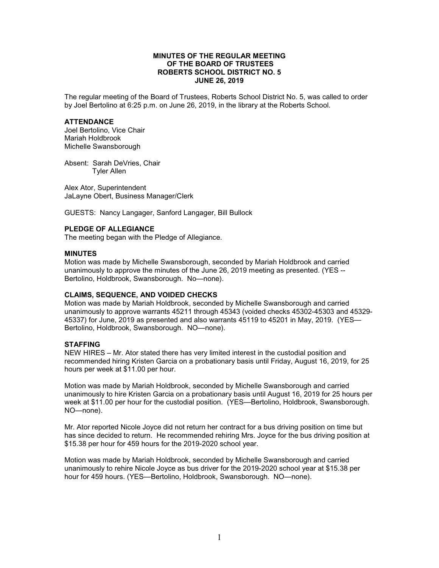## **MINUTES OF THE REGULAR MEETING OF THE BOARD OF TRUSTEES ROBERTS SCHOOL DISTRICT NO. 5 JUNE 26, 2019**

The regular meeting of the Board of Trustees, Roberts School District No. 5, was called to order by Joel Bertolino at 6:25 p.m. on June 26, 2019, in the library at the Roberts School.

#### **ATTENDANCE**

Joel Bertolino, Vice Chair Mariah Holdbrook Michelle Swansborough

Absent: Sarah DeVries, Chair Tyler Allen

Alex Ator, Superintendent JaLayne Obert, Business Manager/Clerk

GUESTS: Nancy Langager, Sanford Langager, Bill Bullock

## **PLEDGE OF ALLEGIANCE**

The meeting began with the Pledge of Allegiance.

#### **MINUTES**

Motion was made by Michelle Swansborough, seconded by Mariah Holdbrook and carried unanimously to approve the minutes of the June 26, 2019 meeting as presented. (YES -- Bertolino, Holdbrook, Swansborough. No—none).

## **CLAIMS, SEQUENCE, AND VOIDED CHECKS**

Motion was made by Mariah Holdbrook, seconded by Michelle Swansborough and carried unanimously to approve warrants 45211 through 45343 (voided checks 45302-45303 and 45329- 45337) for June, 2019 as presented and also warrants 45119 to 45201 in May, 2019. (YES— Bertolino, Holdbrook, Swansborough. NO—none).

### **STAFFING**

NEW HIRES – Mr. Ator stated there has very limited interest in the custodial position and recommended hiring Kristen Garcia on a probationary basis until Friday, August 16, 2019, for 25 hours per week at \$11.00 per hour.

Motion was made by Mariah Holdbrook, seconded by Michelle Swansborough and carried unanimously to hire Kristen Garcia on a probationary basis until August 16, 2019 for 25 hours per week at \$11.00 per hour for the custodial position. (YES—Bertolino, Holdbrook, Swansborough. NO—none).

Mr. Ator reported Nicole Joyce did not return her contract for a bus driving position on time but has since decided to return. He recommended rehiring Mrs. Joyce for the bus driving position at \$15.38 per hour for 459 hours for the 2019-2020 school year.

Motion was made by Mariah Holdbrook, seconded by Michelle Swansborough and carried unanimously to rehire Nicole Joyce as bus driver for the 2019-2020 school year at \$15.38 per hour for 459 hours. (YES—Bertolino, Holdbrook, Swansborough. NO—none).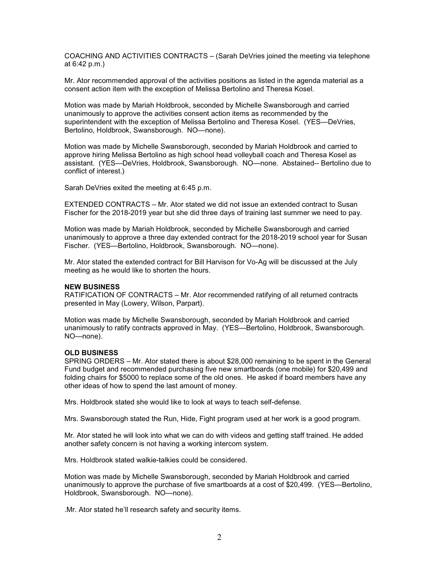COACHING AND ACTIVITIES CONTRACTS – (Sarah DeVries joined the meeting via telephone at 6:42 p.m.)

Mr. Ator recommended approval of the activities positions as listed in the agenda material as a consent action item with the exception of Melissa Bertolino and Theresa Kosel.

Motion was made by Mariah Holdbrook, seconded by Michelle Swansborough and carried unanimously to approve the activities consent action items as recommended by the superintendent with the exception of Melissa Bertolino and Theresa Kosel. (YES—DeVries, Bertolino, Holdbrook, Swansborough. NO—none).

Motion was made by Michelle Swansborough, seconded by Mariah Holdbrook and carried to approve hiring Melissa Bertolino as high school head volleyball coach and Theresa Kosel as assistant. (YES—DeVries, Holdbrook, Swansborough. NO—none. Abstained-- Bertolino due to conflict of interest.)

Sarah DeVries exited the meeting at 6:45 p.m.

EXTENDED CONTRACTS – Mr. Ator stated we did not issue an extended contract to Susan Fischer for the 2018-2019 year but she did three days of training last summer we need to pay.

Motion was made by Mariah Holdbrook, seconded by Michelle Swansborough and carried unanimously to approve a three day extended contract for the 2018-2019 school year for Susan Fischer. (YES—Bertolino, Holdbrook, Swansborough. NO—none).

Mr. Ator stated the extended contract for Bill Harvison for Vo-Ag will be discussed at the July meeting as he would like to shorten the hours.

#### **NEW BUSINESS**

RATIFICATION OF CONTRACTS – Mr. Ator recommended ratifying of all returned contracts presented in May (Lowery, Wilson, Parpart).

Motion was made by Michelle Swansborough, seconded by Mariah Holdbrook and carried unanimously to ratify contracts approved in May. (YES—Bertolino, Holdbrook, Swansborough. NO—none).

## **OLD BUSINESS**

SPRING ORDERS – Mr. Ator stated there is about \$28,000 remaining to be spent in the General Fund budget and recommended purchasing five new smartboards (one mobile) for \$20,499 and folding chairs for \$5000 to replace some of the old ones. He asked if board members have any other ideas of how to spend the last amount of money.

Mrs. Holdbrook stated she would like to look at ways to teach self-defense.

Mrs. Swansborough stated the Run, Hide, Fight program used at her work is a good program.

Mr. Ator stated he will look into what we can do with videos and getting staff trained. He added another safety concern is not having a working intercom system.

Mrs. Holdbrook stated walkie-talkies could be considered.

Motion was made by Michelle Swansborough, seconded by Mariah Holdbrook and carried unanimously to approve the purchase of five smartboards at a cost of \$20,499. (YES—Bertolino, Holdbrook, Swansborough. NO—none).

.Mr. Ator stated he'll research safety and security items.